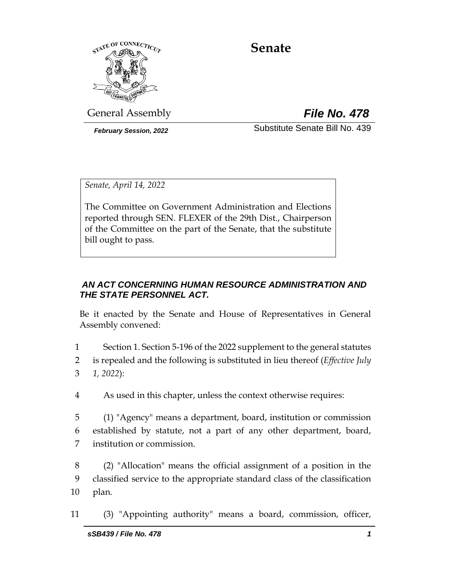

# **Senate**

General Assembly *File No. 478*

*February Session, 2022* Substitute Senate Bill No. 439

*Senate, April 14, 2022*

The Committee on Government Administration and Elections reported through SEN. FLEXER of the 29th Dist., Chairperson of the Committee on the part of the Senate, that the substitute bill ought to pass.

## *AN ACT CONCERNING HUMAN RESOURCE ADMINISTRATION AND THE STATE PERSONNEL ACT.*

Be it enacted by the Senate and House of Representatives in General Assembly convened:

- 1 Section 1. Section 5-196 of the 2022 supplement to the general statutes 2 is repealed and the following is substituted in lieu thereof (*Effective July*  3 *1, 2022*):
- 4 As used in this chapter, unless the context otherwise requires:
- 5 (1) "Agency" means a department, board, institution or commission 6 established by statute, not a part of any other department, board, 7 institution or commission.
- 8 (2) "Allocation" means the official assignment of a position in the 9 classified service to the appropriate standard class of the classification 10 plan.
- 11 (3) "Appointing authority" means a board, commission, officer,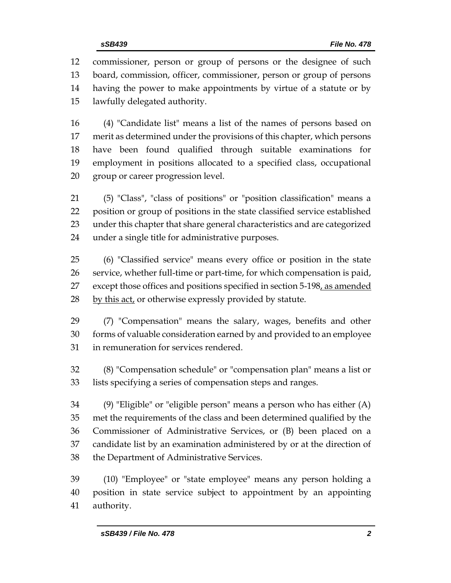commissioner, person or group of persons or the designee of such board, commission, officer, commissioner, person or group of persons having the power to make appointments by virtue of a statute or by lawfully delegated authority.

 (4) "Candidate list" means a list of the names of persons based on merit as determined under the provisions of this chapter, which persons have been found qualified through suitable examinations for employment in positions allocated to a specified class, occupational group or career progression level.

 (5) "Class", "class of positions" or "position classification" means a position or group of positions in the state classified service established under this chapter that share general characteristics and are categorized under a single title for administrative purposes.

 (6) "Classified service" means every office or position in the state service, whether full-time or part-time, for which compensation is paid, 27 except those offices and positions specified in section 5-198, as amended 28 by this act, or otherwise expressly provided by statute.

 (7) "Compensation" means the salary, wages, benefits and other forms of valuable consideration earned by and provided to an employee in remuneration for services rendered.

 (8) "Compensation schedule" or "compensation plan" means a list or lists specifying a series of compensation steps and ranges.

 (9) "Eligible" or "eligible person" means a person who has either (A) met the requirements of the class and been determined qualified by the Commissioner of Administrative Services, or (B) been placed on a candidate list by an examination administered by or at the direction of the Department of Administrative Services.

 (10) "Employee" or "state employee" means any person holding a position in state service subject to appointment by an appointing authority.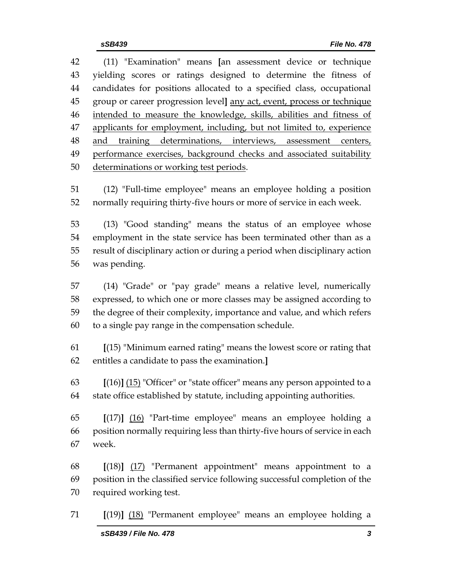(11) "Examination" means **[**an assessment device or technique yielding scores or ratings designed to determine the fitness of candidates for positions allocated to a specified class, occupational group or career progression level**]** any act, event, process or technique intended to measure the knowledge, skills, abilities and fitness of 47 applicants for employment, including, but not limited to, experience and training determinations, interviews, assessment centers, performance exercises, background checks and associated suitability determinations or working test periods.

 (12) "Full-time employee" means an employee holding a position normally requiring thirty-five hours or more of service in each week.

 (13) "Good standing" means the status of an employee whose employment in the state service has been terminated other than as a result of disciplinary action or during a period when disciplinary action was pending.

 (14) "Grade" or "pay grade" means a relative level, numerically expressed, to which one or more classes may be assigned according to the degree of their complexity, importance and value, and which refers to a single pay range in the compensation schedule.

- **[**(15) "Minimum earned rating" means the lowest score or rating that entitles a candidate to pass the examination.**]**
- **[**(16)**]** (15) "Officer" or "state officer" means any person appointed to a state office established by statute, including appointing authorities.
- **[**(17)**]** (16) "Part-time employee" means an employee holding a position normally requiring less than thirty-five hours of service in each week.

 **[**(18)**]** (17) "Permanent appointment" means appointment to a position in the classified service following successful completion of the required working test.

**[**(19)**]** (18) "Permanent employee" means an employee holding a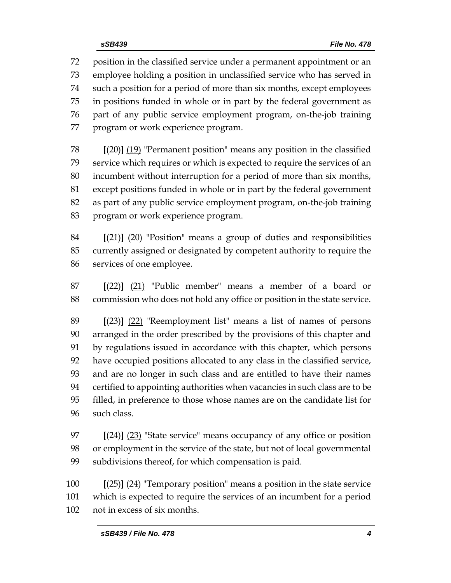position in the classified service under a permanent appointment or an employee holding a position in unclassified service who has served in such a position for a period of more than six months, except employees in positions funded in whole or in part by the federal government as part of any public service employment program, on-the-job training program or work experience program.

 **[**(20)**]** (19) "Permanent position" means any position in the classified service which requires or which is expected to require the services of an incumbent without interruption for a period of more than six months, except positions funded in whole or in part by the federal government as part of any public service employment program, on-the-job training program or work experience program.

 **[**(21)**]** (20) "Position" means a group of duties and responsibilities currently assigned or designated by competent authority to require the services of one employee.

 **[**(22)**]** (21) "Public member" means a member of a board or commission who does not hold any office or position in the state service.

 **[**(23)**]** (22) "Reemployment list" means a list of names of persons arranged in the order prescribed by the provisions of this chapter and by regulations issued in accordance with this chapter, which persons have occupied positions allocated to any class in the classified service, and are no longer in such class and are entitled to have their names certified to appointing authorities when vacancies in such class are to be filled, in preference to those whose names are on the candidate list for such class.

 **[**(24)**]** (23) "State service" means occupancy of any office or position or employment in the service of the state, but not of local governmental subdivisions thereof, for which compensation is paid.

 **[**(25)**]** (24) "Temporary position" means a position in the state service which is expected to require the services of an incumbent for a period not in excess of six months.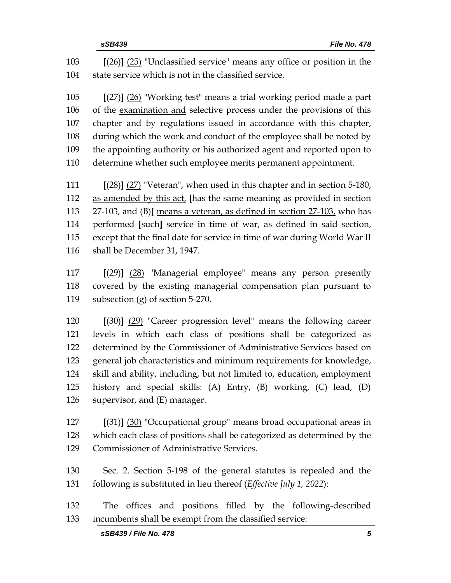**[**(26)**]** (25) "Unclassified service" means any office or position in the state service which is not in the classified service.

 **[**(27)**]** (26) "Working test" means a trial working period made a part of the examination and selective process under the provisions of this chapter and by regulations issued in accordance with this chapter, during which the work and conduct of the employee shall be noted by the appointing authority or his authorized agent and reported upon to determine whether such employee merits permanent appointment.

 **[**(28)**]** (27) "Veteran", when used in this chapter and in section 5-180, as amended by this act, **[**has the same meaning as provided in section 27-103, and (B)**]** means a veteran, as defined in section 27-103, who has performed **[**such**]** service in time of war, as defined in said section, except that the final date for service in time of war during World War II shall be December 31, 1947.

 **[**(29)**]** (28) "Managerial employee" means any person presently covered by the existing managerial compensation plan pursuant to subsection (g) of section 5-270.

 **[**(30)**]** (29) "Career progression level" means the following career levels in which each class of positions shall be categorized as determined by the Commissioner of Administrative Services based on general job characteristics and minimum requirements for knowledge, skill and ability, including, but not limited to, education, employment history and special skills: (A) Entry, (B) working, (C) lead, (D) supervisor, and (E) manager.

 **[**(31)**]** (30) "Occupational group" means broad occupational areas in which each class of positions shall be categorized as determined by the Commissioner of Administrative Services.

 Sec. 2. Section 5-198 of the general statutes is repealed and the following is substituted in lieu thereof (*Effective July 1, 2022*):

 The offices and positions filled by the following-described incumbents shall be exempt from the classified service: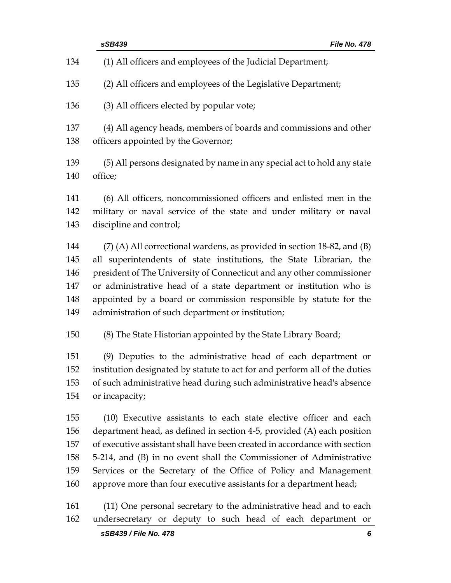|     | sSB439<br><b>File No. 478</b>                                              |
|-----|----------------------------------------------------------------------------|
| 134 | (1) All officers and employees of the Judicial Department;                 |
| 135 | (2) All officers and employees of the Legislative Department;              |
| 136 | (3) All officers elected by popular vote;                                  |
| 137 | (4) All agency heads, members of boards and commissions and other          |
| 138 | officers appointed by the Governor;                                        |
| 139 | (5) All persons designated by name in any special act to hold any state    |
| 140 | office;                                                                    |
| 141 | (6) All officers, noncommissioned officers and enlisted men in the         |
| 142 | military or naval service of the state and under military or naval         |
| 143 | discipline and control;                                                    |
| 144 | $(7)$ (A) All correctional wardens, as provided in section 18-82, and (B)  |
| 145 | all superintendents of state institutions, the State Librarian, the        |
| 146 | president of The University of Connecticut and any other commissioner      |
| 147 | or administrative head of a state department or institution who is         |
| 148 | appointed by a board or commission responsible by statute for the          |
| 149 | administration of such department or institution;                          |
| 150 | (8) The State Historian appointed by the State Library Board;              |
| 151 | (9) Deputies to the administrative head of each department or              |
| 152 | institution designated by statute to act for and perform all of the duties |
| 153 | of such administrative head during such administrative head's absence      |
| 154 | or incapacity;                                                             |
| 155 | (10) Executive assistants to each state elective officer and each          |
| 156 | department head, as defined in section 4-5, provided (A) each position     |
| 157 | of executive assistant shall have been created in accordance with section  |
| 158 | 5-214, and (B) in no event shall the Commissioner of Administrative        |
| 159 | Services or the Secretary of the Office of Policy and Management           |
| 160 | approve more than four executive assistants for a department head;         |
| 161 | (11) One personal secretary to the administrative head and to each         |
| 162 | undersecretary or deputy to such head of each department or                |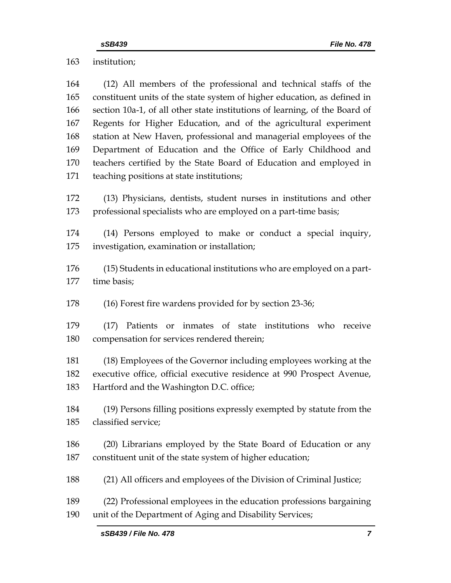institution;

| 164 | (12) All members of the professional and technical staffs of the            |  |  |
|-----|-----------------------------------------------------------------------------|--|--|
| 165 | constituent units of the state system of higher education, as defined in    |  |  |
| 166 | section 10a-1, of all other state institutions of learning, of the Board of |  |  |
| 167 | Regents for Higher Education, and of the agricultural experiment            |  |  |
| 168 | station at New Haven, professional and managerial employees of the          |  |  |
| 169 | Department of Education and the Office of Early Childhood and               |  |  |
| 170 | teachers certified by the State Board of Education and employed in          |  |  |
| 171 | teaching positions at state institutions;                                   |  |  |
|     |                                                                             |  |  |
| 172 | (13) Physicians, dentists, student nurses in institutions and other         |  |  |
| 173 | professional specialists who are employed on a part-time basis;             |  |  |
| 174 | (14) Persons employed to make or conduct a special inquiry,                 |  |  |
| 175 | investigation, examination or installation;                                 |  |  |
|     |                                                                             |  |  |
| 176 | (15) Students in educational institutions who are employed on a part-       |  |  |
| 177 | time basis;                                                                 |  |  |
| 178 | (16) Forest fire wardens provided for by section 23-36;                     |  |  |
| 179 | (17) Patients or inmates of state institutions who receive                  |  |  |
| 180 | compensation for services rendered therein;                                 |  |  |
|     |                                                                             |  |  |
| 181 | (18) Employees of the Governor including employees working at the           |  |  |
| 182 | executive office, official executive residence at 990 Prospect Avenue,      |  |  |
| 183 | Hartford and the Washington D.C. office;                                    |  |  |
| 184 | (19) Persons filling positions expressly exempted by statute from the       |  |  |
| 185 | classified service;                                                         |  |  |
|     |                                                                             |  |  |
| 186 | (20) Librarians employed by the State Board of Education or any             |  |  |
| 187 | constituent unit of the state system of higher education;                   |  |  |
| 188 | (21) All officers and employees of the Division of Criminal Justice;        |  |  |
| 189 | (22) Professional employees in the education professions bargaining         |  |  |
| 190 | unit of the Department of Aging and Disability Services;                    |  |  |
|     |                                                                             |  |  |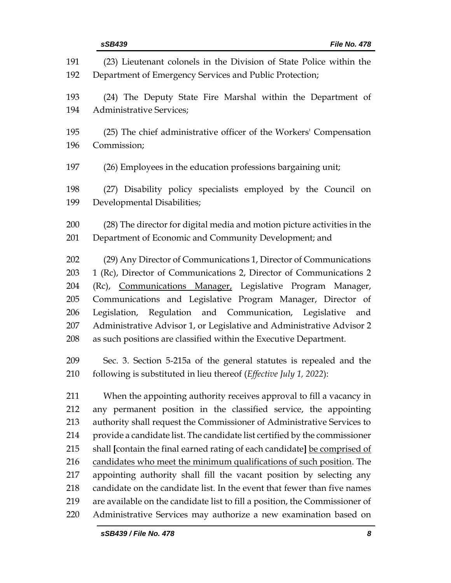| 191 | (23) Lieutenant colonels in the Division of State Police within the         |
|-----|-----------------------------------------------------------------------------|
| 192 | Department of Emergency Services and Public Protection;                     |
| 193 | (24) The Deputy State Fire Marshal within the Department of                 |
| 194 | <b>Administrative Services;</b>                                             |
| 195 | (25) The chief administrative officer of the Workers' Compensation          |
| 196 | Commission;                                                                 |
| 197 | (26) Employees in the education professions bargaining unit;                |
| 198 | (27) Disability policy specialists employed by the Council on               |
| 199 | Developmental Disabilities;                                                 |
| 200 | (28) The director for digital media and motion picture activities in the    |
| 201 | Department of Economic and Community Development; and                       |
| 202 | (29) Any Director of Communications 1, Director of Communications           |
| 203 | 1 (Rc), Director of Communications 2, Director of Communications 2          |
| 204 | (Rc), Communications Manager, Legislative Program Manager,                  |
| 205 | Communications and Legislative Program Manager, Director of                 |
| 206 | Legislation, Regulation and Communication, Legislative<br>and               |
| 207 | Administrative Advisor 1, or Legislative and Administrative Advisor 2       |
| 208 | as such positions are classified within the Executive Department.           |
| 209 | Sec. 3. Section 5-215a of the general statutes is repealed and the          |
| 210 | following is substituted in lieu thereof (Effective July 1, 2022):          |
| 211 | When the appointing authority receives approval to fill a vacancy in        |
| 212 | any permanent position in the classified service, the appointing            |
| 213 | authority shall request the Commissioner of Administrative Services to      |
| 214 | provide a candidate list. The candidate list certified by the commissioner  |
| 215 | shall [contain the final earned rating of each candidate] be comprised of   |
| 216 | candidates who meet the minimum qualifications of such position. The        |
| 217 | appointing authority shall fill the vacant position by selecting any        |
| 218 | candidate on the candidate list. In the event that fewer than five names    |
| 219 | are available on the candidate list to fill a position, the Commissioner of |
| 220 | Administrative Services may authorize a new examination based on            |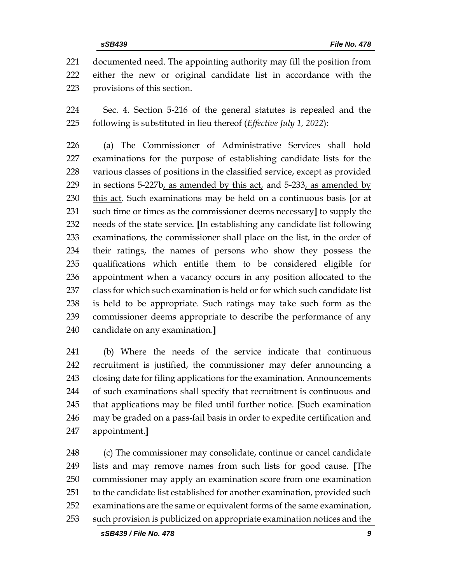documented need. The appointing authority may fill the position from either the new or original candidate list in accordance with the provisions of this section.

 Sec. 4. Section 5-216 of the general statutes is repealed and the following is substituted in lieu thereof (*Effective July 1, 2022*):

 (a) The Commissioner of Administrative Services shall hold examinations for the purpose of establishing candidate lists for the various classes of positions in the classified service, except as provided 229 in sections  $5-227b$ , as amended by this act, and  $5-233$ , as amended by this act. Such examinations may be held on a continuous basis **[**or at such time or times as the commissioner deems necessary**]** to supply the needs of the state service. **[**In establishing any candidate list following examinations, the commissioner shall place on the list, in the order of their ratings, the names of persons who show they possess the qualifications which entitle them to be considered eligible for appointment when a vacancy occurs in any position allocated to the class for which such examination is held or for which such candidate list is held to be appropriate. Such ratings may take such form as the commissioner deems appropriate to describe the performance of any candidate on any examination.**]**

 (b) Where the needs of the service indicate that continuous recruitment is justified, the commissioner may defer announcing a closing date for filing applications for the examination. Announcements of such examinations shall specify that recruitment is continuous and that applications may be filed until further notice. **[**Such examination may be graded on a pass-fail basis in order to expedite certification and appointment.**]**

 (c) The commissioner may consolidate, continue or cancel candidate lists and may remove names from such lists for good cause. **[**The commissioner may apply an examination score from one examination to the candidate list established for another examination, provided such examinations are the same or equivalent forms of the same examination, such provision is publicized on appropriate examination notices and the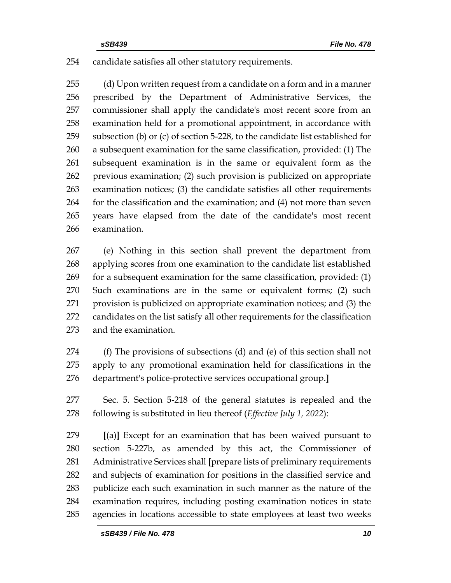## candidate satisfies all other statutory requirements.

 (d) Upon written request from a candidate on a form and in a manner prescribed by the Department of Administrative Services, the commissioner shall apply the candidate's most recent score from an examination held for a promotional appointment, in accordance with subsection (b) or (c) of section 5-228, to the candidate list established for a subsequent examination for the same classification, provided: (1) The subsequent examination is in the same or equivalent form as the previous examination; (2) such provision is publicized on appropriate examination notices; (3) the candidate satisfies all other requirements for the classification and the examination; and (4) not more than seven years have elapsed from the date of the candidate's most recent examination.

 (e) Nothing in this section shall prevent the department from applying scores from one examination to the candidate list established for a subsequent examination for the same classification, provided: (1) Such examinations are in the same or equivalent forms; (2) such provision is publicized on appropriate examination notices; and (3) the candidates on the list satisfy all other requirements for the classification and the examination.

- (f) The provisions of subsections (d) and (e) of this section shall not apply to any promotional examination held for classifications in the department's police-protective services occupational group.**]**
- Sec. 5. Section 5-218 of the general statutes is repealed and the following is substituted in lieu thereof (*Effective July 1, 2022*):

 **[**(a)**]** Except for an examination that has been waived pursuant to section 5-227b, as amended by this act, the Commissioner of Administrative Services shall **[**prepare lists of preliminary requirements and subjects of examination for positions in the classified service and publicize each such examination in such manner as the nature of the examination requires, including posting examination notices in state agencies in locations accessible to state employees at least two weeks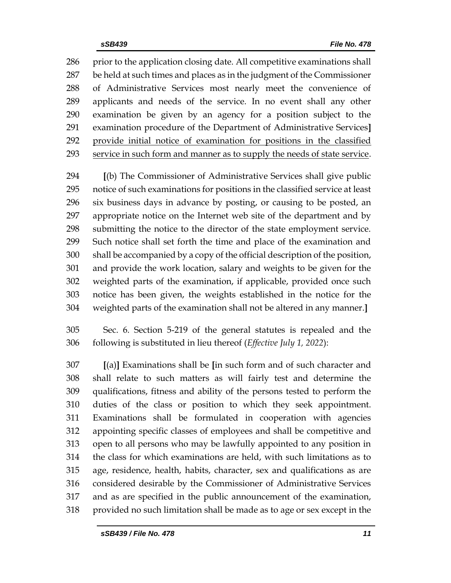286 prior to the application closing date. All competitive examinations shall be held at such times and places as in the judgment of the Commissioner of Administrative Services most nearly meet the convenience of applicants and needs of the service. In no event shall any other examination be given by an agency for a position subject to the examination procedure of the Department of Administrative Services**]** provide initial notice of examination for positions in the classified service in such form and manner as to supply the needs of state service.

 **[**(b) The Commissioner of Administrative Services shall give public notice of such examinations for positions in the classified service at least six business days in advance by posting, or causing to be posted, an appropriate notice on the Internet web site of the department and by submitting the notice to the director of the state employment service. Such notice shall set forth the time and place of the examination and shall be accompanied by a copy of the official description of the position, and provide the work location, salary and weights to be given for the weighted parts of the examination, if applicable, provided once such notice has been given, the weights established in the notice for the weighted parts of the examination shall not be altered in any manner.**]**

 Sec. 6. Section 5-219 of the general statutes is repealed and the following is substituted in lieu thereof (*Effective July 1, 2022*):

 **[**(a)**]** Examinations shall be **[**in such form and of such character and shall relate to such matters as will fairly test and determine the qualifications, fitness and ability of the persons tested to perform the duties of the class or position to which they seek appointment. Examinations shall be formulated in cooperation with agencies appointing specific classes of employees and shall be competitive and open to all persons who may be lawfully appointed to any position in the class for which examinations are held, with such limitations as to age, residence, health, habits, character, sex and qualifications as are considered desirable by the Commissioner of Administrative Services and as are specified in the public announcement of the examination, provided no such limitation shall be made as to age or sex except in the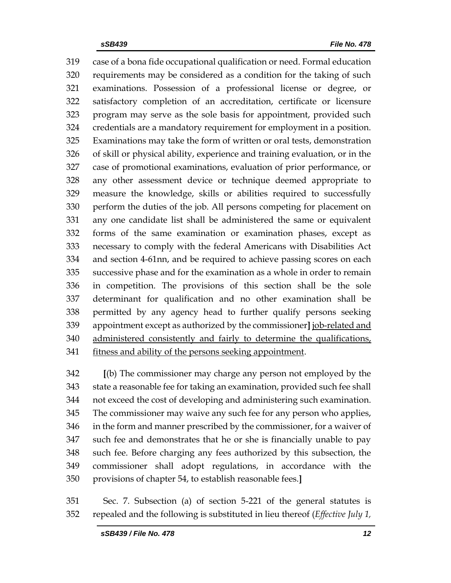case of a bona fide occupational qualification or need. Formal education requirements may be considered as a condition for the taking of such examinations. Possession of a professional license or degree, or satisfactory completion of an accreditation, certificate or licensure program may serve as the sole basis for appointment, provided such credentials are a mandatory requirement for employment in a position. Examinations may take the form of written or oral tests, demonstration of skill or physical ability, experience and training evaluation, or in the case of promotional examinations, evaluation of prior performance, or any other assessment device or technique deemed appropriate to measure the knowledge, skills or abilities required to successfully perform the duties of the job. All persons competing for placement on any one candidate list shall be administered the same or equivalent forms of the same examination or examination phases, except as necessary to comply with the federal Americans with Disabilities Act and section 4-61nn, and be required to achieve passing scores on each successive phase and for the examination as a whole in order to remain in competition. The provisions of this section shall be the sole determinant for qualification and no other examination shall be permitted by any agency head to further qualify persons seeking appointment except as authorized by the commissioner**]** job-related and 340 administered consistently and fairly to determine the qualifications, fitness and ability of the persons seeking appointment.

 **[**(b) The commissioner may charge any person not employed by the state a reasonable fee for taking an examination, provided such fee shall not exceed the cost of developing and administering such examination. The commissioner may waive any such fee for any person who applies, in the form and manner prescribed by the commissioner, for a waiver of such fee and demonstrates that he or she is financially unable to pay such fee. Before charging any fees authorized by this subsection, the commissioner shall adopt regulations, in accordance with the provisions of chapter 54, to establish reasonable fees.**]**

 Sec. 7. Subsection (a) of section 5-221 of the general statutes is repealed and the following is substituted in lieu thereof (*Effective July 1,*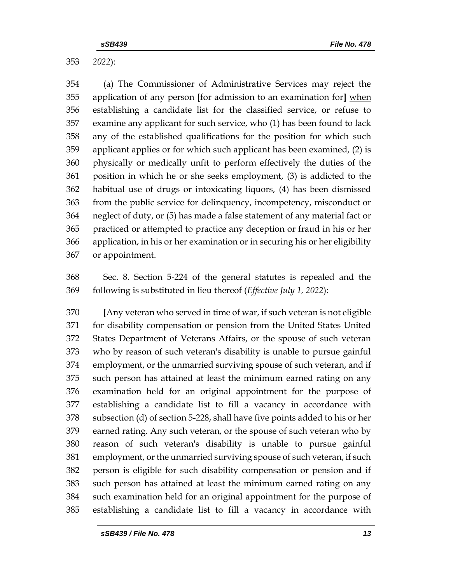*2022*):

 (a) The Commissioner of Administrative Services may reject the application of any person **[**for admission to an examination for**]** when establishing a candidate list for the classified service, or refuse to examine any applicant for such service, who (1) has been found to lack any of the established qualifications for the position for which such applicant applies or for which such applicant has been examined, (2) is physically or medically unfit to perform effectively the duties of the position in which he or she seeks employment, (3) is addicted to the habitual use of drugs or intoxicating liquors, (4) has been dismissed from the public service for delinquency, incompetency, misconduct or neglect of duty, or (5) has made a false statement of any material fact or practiced or attempted to practice any deception or fraud in his or her application, in his or her examination or in securing his or her eligibility or appointment.

 Sec. 8. Section 5-224 of the general statutes is repealed and the following is substituted in lieu thereof (*Effective July 1, 2022*):

 **[**Any veteran who served in time of war, if such veteran is not eligible for disability compensation or pension from the United States United States Department of Veterans Affairs, or the spouse of such veteran who by reason of such veteran's disability is unable to pursue gainful employment, or the unmarried surviving spouse of such veteran, and if such person has attained at least the minimum earned rating on any examination held for an original appointment for the purpose of establishing a candidate list to fill a vacancy in accordance with subsection (d) of section 5-228, shall have five points added to his or her earned rating. Any such veteran, or the spouse of such veteran who by reason of such veteran's disability is unable to pursue gainful employment, or the unmarried surviving spouse of such veteran, if such person is eligible for such disability compensation or pension and if such person has attained at least the minimum earned rating on any such examination held for an original appointment for the purpose of establishing a candidate list to fill a vacancy in accordance with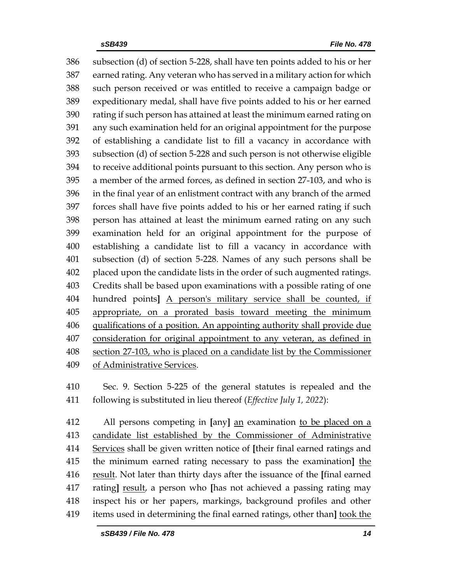subsection (d) of section 5-228, shall have ten points added to his or her earned rating. Any veteran who has served in a military action for which such person received or was entitled to receive a campaign badge or expeditionary medal, shall have five points added to his or her earned rating if such person has attained at least the minimum earned rating on any such examination held for an original appointment for the purpose of establishing a candidate list to fill a vacancy in accordance with subsection (d) of section 5-228 and such person is not otherwise eligible to receive additional points pursuant to this section. Any person who is a member of the armed forces, as defined in section 27-103, and who is in the final year of an enlistment contract with any branch of the armed forces shall have five points added to his or her earned rating if such person has attained at least the minimum earned rating on any such examination held for an original appointment for the purpose of establishing a candidate list to fill a vacancy in accordance with subsection (d) of section 5-228. Names of any such persons shall be placed upon the candidate lists in the order of such augmented ratings. Credits shall be based upon examinations with a possible rating of one hundred points**]** A person's military service shall be counted, if appropriate, on a prorated basis toward meeting the minimum qualifications of a position. An appointing authority shall provide due consideration for original appointment to any veteran, as defined in section 27-103, who is placed on a candidate list by the Commissioner of Administrative Services.

 Sec. 9. Section 5-225 of the general statutes is repealed and the following is substituted in lieu thereof (*Effective July 1, 2022*):

 All persons competing in **[**any**]** an examination to be placed on a candidate list established by the Commissioner of Administrative Services shall be given written notice of **[**their final earned ratings and the minimum earned rating necessary to pass the examination**]** the result. Not later than thirty days after the issuance of the **[**final earned rating**]** result, a person who **[**has not achieved a passing rating may inspect his or her papers, markings, background profiles and other items used in determining the final earned ratings, other than**]** took the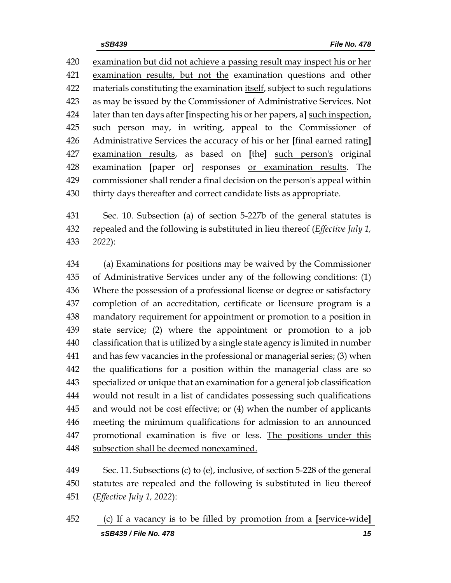examination but did not achieve a passing result may inspect his or her examination results, but not the examination questions and other materials constituting the examination itself, subject to such regulations as may be issued by the Commissioner of Administrative Services. Not later than ten days after **[**inspecting his or her papers, a**]** such inspection, 425 such person may, in writing, appeal to the Commissioner of Administrative Services the accuracy of his or her **[**final earned rating**]** examination results, as based on **[**the**]** such person's original examination **[**paper or**]** responses or examination results. The commissioner shall render a final decision on the person's appeal within thirty days thereafter and correct candidate lists as appropriate.

 Sec. 10. Subsection (a) of section 5-227b of the general statutes is repealed and the following is substituted in lieu thereof (*Effective July 1, 2022*):

 (a) Examinations for positions may be waived by the Commissioner of Administrative Services under any of the following conditions: (1) Where the possession of a professional license or degree or satisfactory completion of an accreditation, certificate or licensure program is a mandatory requirement for appointment or promotion to a position in state service; (2) where the appointment or promotion to a job classification that is utilized by a single state agency is limited in number and has few vacancies in the professional or managerial series; (3) when the qualifications for a position within the managerial class are so specialized or unique that an examination for a general job classification would not result in a list of candidates possessing such qualifications and would not be cost effective; or (4) when the number of applicants meeting the minimum qualifications for admission to an announced 447 promotional examination is five or less. The positions under this 448 subsection shall be deemed nonexamined.

 Sec. 11. Subsections (c) to (e), inclusive, of section 5-228 of the general statutes are repealed and the following is substituted in lieu thereof (*Effective July 1, 2022*):

*sSB439 / File No. 478 15* (c) If a vacancy is to be filled by promotion from a **[**service-wide**]**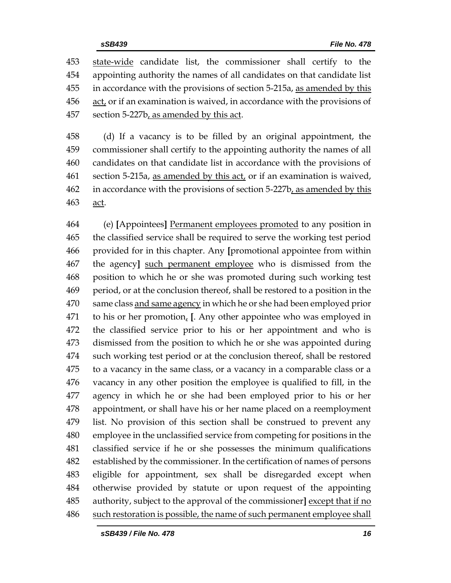state-wide candidate list, the commissioner shall certify to the appointing authority the names of all candidates on that candidate list in accordance with the provisions of section 5-215a, as amended by this act, or if an examination is waived, in accordance with the provisions of 457 section 5-227b, as amended by this act.

 (d) If a vacancy is to be filled by an original appointment, the commissioner shall certify to the appointing authority the names of all candidates on that candidate list in accordance with the provisions of section 5-215a, as amended by this act, or if an examination is waived, in accordance with the provisions of section 5-227b, as amended by this act.

 (e) **[**Appointees**]** Permanent employees promoted to any position in the classified service shall be required to serve the working test period provided for in this chapter. Any **[**promotional appointee from within the agency**]** such permanent employee who is dismissed from the position to which he or she was promoted during such working test period, or at the conclusion thereof, shall be restored to a position in the same class and same agency in which he or she had been employed prior to his or her promotion, **[**. Any other appointee who was employed in the classified service prior to his or her appointment and who is dismissed from the position to which he or she was appointed during such working test period or at the conclusion thereof, shall be restored to a vacancy in the same class, or a vacancy in a comparable class or a vacancy in any other position the employee is qualified to fill, in the agency in which he or she had been employed prior to his or her appointment, or shall have his or her name placed on a reemployment list. No provision of this section shall be construed to prevent any employee in the unclassified service from competing for positions in the classified service if he or she possesses the minimum qualifications established by the commissioner. In the certification of names of persons eligible for appointment, sex shall be disregarded except when otherwise provided by statute or upon request of the appointing authority, subject to the approval of the commissioner**]** except that if no such restoration is possible, the name of such permanent employee shall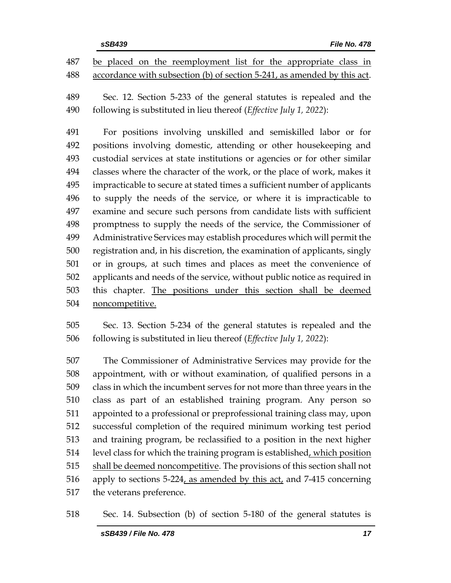Sec. 12. Section 5-233 of the general statutes is repealed and the following is substituted in lieu thereof (*Effective July 1, 2022*):

 For positions involving unskilled and semiskilled labor or for positions involving domestic, attending or other housekeeping and custodial services at state institutions or agencies or for other similar classes where the character of the work, or the place of work, makes it impracticable to secure at stated times a sufficient number of applicants to supply the needs of the service, or where it is impracticable to examine and secure such persons from candidate lists with sufficient promptness to supply the needs of the service, the Commissioner of Administrative Services may establish procedures which will permit the registration and, in his discretion, the examination of applicants, singly or in groups, at such times and places as meet the convenience of applicants and needs of the service, without public notice as required in this chapter. The positions under this section shall be deemed noncompetitive.

 Sec. 13. Section 5-234 of the general statutes is repealed and the following is substituted in lieu thereof (*Effective July 1, 2022*):

 The Commissioner of Administrative Services may provide for the appointment, with or without examination, of qualified persons in a class in which the incumbent serves for not more than three years in the class as part of an established training program. Any person so appointed to a professional or preprofessional training class may, upon successful completion of the required minimum working test period and training program, be reclassified to a position in the next higher 514 level class for which the training program is established, which position shall be deemed noncompetitive. The provisions of this section shall not apply to sections 5-224, as amended by this act, and 7-415 concerning the veterans preference.

Sec. 14. Subsection (b) of section 5-180 of the general statutes is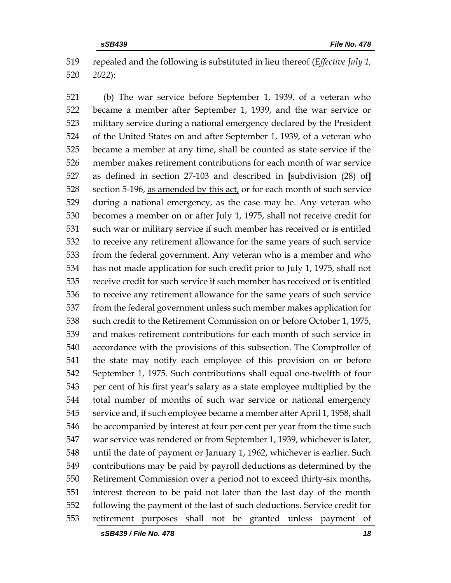repealed and the following is substituted in lieu thereof (*Effective July 1, 2022*):

 (b) The war service before September 1, 1939, of a veteran who became a member after September 1, 1939, and the war service or military service during a national emergency declared by the President of the United States on and after September 1, 1939, of a veteran who became a member at any time, shall be counted as state service if the member makes retirement contributions for each month of war service as defined in section 27-103 and described in **[**subdivision (28) of**]** 528 section 5-196, as amended by this act, or for each month of such service during a national emergency, as the case may be. Any veteran who becomes a member on or after July 1, 1975, shall not receive credit for such war or military service if such member has received or is entitled to receive any retirement allowance for the same years of such service from the federal government. Any veteran who is a member and who has not made application for such credit prior to July 1, 1975, shall not receive credit for such service if such member has received or is entitled to receive any retirement allowance for the same years of such service from the federal government unless such member makes application for such credit to the Retirement Commission on or before October 1, 1975, and makes retirement contributions for each month of such service in accordance with the provisions of this subsection. The Comptroller of the state may notify each employee of this provision on or before September 1, 1975. Such contributions shall equal one-twelfth of four per cent of his first year's salary as a state employee multiplied by the total number of months of such war service or national emergency service and, if such employee became a member after April 1, 1958, shall be accompanied by interest at four per cent per year from the time such war service was rendered or from September 1, 1939, whichever is later, until the date of payment or January 1, 1962, whichever is earlier. Such contributions may be paid by payroll deductions as determined by the Retirement Commission over a period not to exceed thirty-six months, interest thereon to be paid not later than the last day of the month following the payment of the last of such deductions. Service credit for retirement purposes shall not be granted unless payment of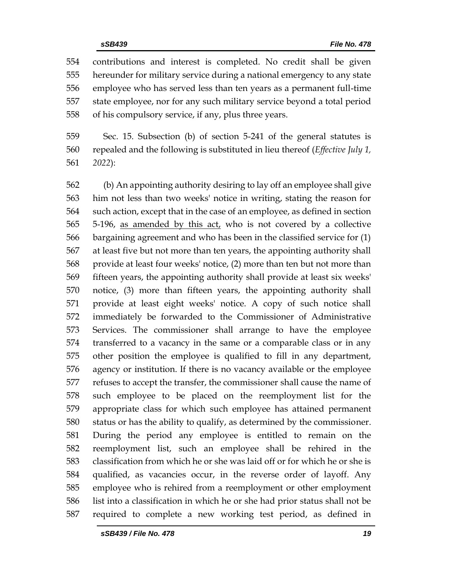contributions and interest is completed. No credit shall be given hereunder for military service during a national emergency to any state employee who has served less than ten years as a permanent full-time state employee, nor for any such military service beyond a total period of his compulsory service, if any, plus three years.

 Sec. 15. Subsection (b) of section 5-241 of the general statutes is repealed and the following is substituted in lieu thereof (*Effective July 1, 2022*):

 (b) An appointing authority desiring to lay off an employee shall give him not less than two weeks' notice in writing, stating the reason for such action, except that in the case of an employee, as defined in section 5-196, as amended by this act, who is not covered by a collective bargaining agreement and who has been in the classified service for (1) at least five but not more than ten years, the appointing authority shall provide at least four weeks' notice, (2) more than ten but not more than fifteen years, the appointing authority shall provide at least six weeks' notice, (3) more than fifteen years, the appointing authority shall provide at least eight weeks' notice. A copy of such notice shall immediately be forwarded to the Commissioner of Administrative Services. The commissioner shall arrange to have the employee transferred to a vacancy in the same or a comparable class or in any other position the employee is qualified to fill in any department, agency or institution. If there is no vacancy available or the employee refuses to accept the transfer, the commissioner shall cause the name of such employee to be placed on the reemployment list for the appropriate class for which such employee has attained permanent status or has the ability to qualify, as determined by the commissioner. During the period any employee is entitled to remain on the reemployment list, such an employee shall be rehired in the classification from which he or she was laid off or for which he or she is qualified, as vacancies occur, in the reverse order of layoff. Any employee who is rehired from a reemployment or other employment list into a classification in which he or she had prior status shall not be required to complete a new working test period, as defined in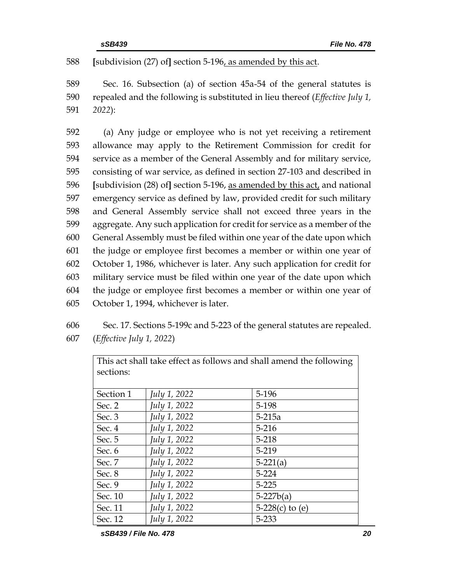588 **[**subdivision (27) of**]** section 5-196, as amended by this act.

589 Sec. 16. Subsection (a) of section 45a-54 of the general statutes is 590 repealed and the following is substituted in lieu thereof (*Effective July 1,*  591 *2022*):

 (a) Any judge or employee who is not yet receiving a retirement allowance may apply to the Retirement Commission for credit for service as a member of the General Assembly and for military service, consisting of war service, as defined in section 27-103 and described in **[**subdivision (28) of**]** section 5-196, as amended by this act, and national emergency service as defined by law, provided credit for such military and General Assembly service shall not exceed three years in the aggregate. Any such application for credit for service as a member of the General Assembly must be filed within one year of the date upon which the judge or employee first becomes a member or within one year of October 1, 1986, whichever is later. Any such application for credit for military service must be filed within one year of the date upon which the judge or employee first becomes a member or within one year of October 1, 1994, whichever is later.

606 Sec. 17. Sections 5-199c and 5-223 of the general statutes are repealed. 607 (*Effective July 1, 2022*)

| This act shall take effect as follows and shall amend the following |              |                   |  |  |  |  |
|---------------------------------------------------------------------|--------------|-------------------|--|--|--|--|
| sections:                                                           |              |                   |  |  |  |  |
|                                                                     |              |                   |  |  |  |  |
| Section 1                                                           | July 1, 2022 | 5-196             |  |  |  |  |
| Sec. 2                                                              | July 1, 2022 | 5-198             |  |  |  |  |
| Sec. 3                                                              | July 1, 2022 | $5 - 215a$        |  |  |  |  |
| Sec. 4                                                              | July 1, 2022 | $5 - 216$         |  |  |  |  |
| Sec. 5                                                              | July 1, 2022 | $5 - 218$         |  |  |  |  |
| Sec. 6                                                              | July 1, 2022 | 5-219             |  |  |  |  |
| Sec. 7                                                              | July 1, 2022 | $5-221(a)$        |  |  |  |  |
| Sec. 8                                                              | July 1, 2022 | 5-224             |  |  |  |  |
| Sec. 9                                                              | July 1, 2022 | $5 - 225$         |  |  |  |  |
| Sec. 10                                                             | July 1, 2022 | $5-227b(a)$       |  |  |  |  |
| Sec. 11                                                             | July 1, 2022 | 5-228(c) to $(e)$ |  |  |  |  |
| Sec. 12                                                             | July 1, 2022 | 5-233             |  |  |  |  |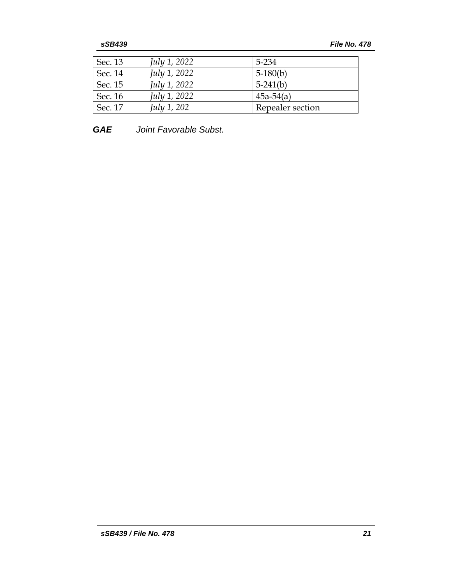| Sec. 13 | <i>July 1, 2022</i> | 5-234            |
|---------|---------------------|------------------|
| Sec. 14 | <i>July 1, 2022</i> | $5-180(b)$       |
| Sec. 15 | <i>July 1, 2022</i> | $5-241(b)$       |
| Sec. 16 | <i>July 1, 2022</i> | $45a-54(a)$      |
| Sec. 17 | <i>July 1, 202</i>  | Repealer section |

*GAE Joint Favorable Subst.*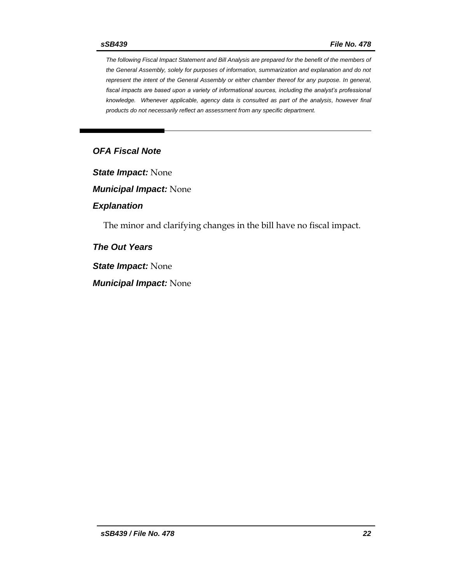*The following Fiscal Impact Statement and Bill Analysis are prepared for the benefit of the members of the General Assembly, solely for purposes of information, summarization and explanation and do not represent the intent of the General Assembly or either chamber thereof for any purpose. In general, fiscal impacts are based upon a variety of informational sources, including the analyst's professional knowledge. Whenever applicable, agency data is consulted as part of the analysis, however final products do not necessarily reflect an assessment from any specific department.*

## *OFA Fiscal Note*

*State Impact:* None

*Municipal Impact:* None

### *Explanation*

The minor and clarifying changes in the bill have no fiscal impact.

*The Out Years*

*State Impact:* None

*Municipal Impact:* None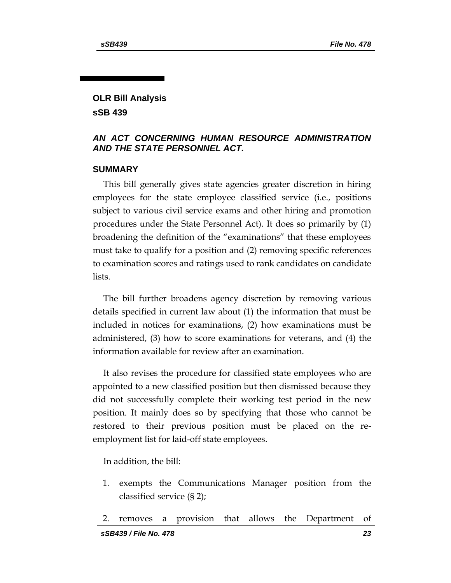## **OLR Bill Analysis sSB 439**

## *AN ACT CONCERNING HUMAN RESOURCE ADMINISTRATION AND THE STATE PERSONNEL ACT.*

## **SUMMARY**

This bill generally gives state agencies greater discretion in hiring employees for the state employee classified service (i.e., positions subject to various civil service exams and other hiring and promotion procedures under the State Personnel Act). It does so primarily by (1) broadening the definition of the "examinations" that these employees must take to qualify for a position and (2) removing specific references to examination scores and ratings used to rank candidates on candidate lists.

The bill further broadens agency discretion by removing various details specified in current law about (1) the information that must be included in notices for examinations, (2) how examinations must be administered, (3) how to score examinations for veterans, and (4) the information available for review after an examination.

It also revises the procedure for classified state employees who are appointed to a new classified position but then dismissed because they did not successfully complete their working test period in the new position. It mainly does so by specifying that those who cannot be restored to their previous position must be placed on the reemployment list for laid-off state employees.

In addition, the bill:

- 1. exempts the Communications Manager position from the classified service (§ 2);
- 2. removes a provision that allows the Department of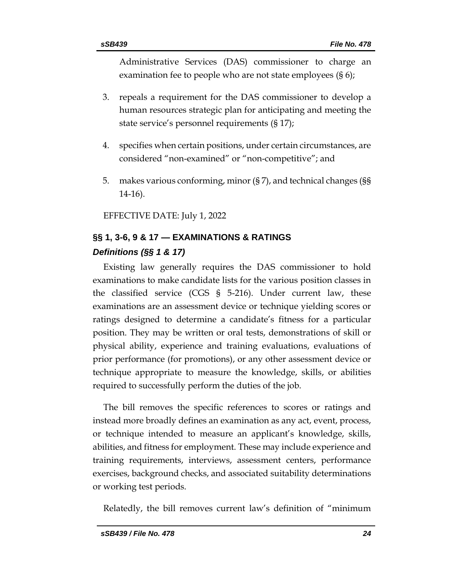Administrative Services (DAS) commissioner to charge an examination fee to people who are not state employees (§ 6);

- 3. repeals a requirement for the DAS commissioner to develop a human resources strategic plan for anticipating and meeting the state service's personnel requirements (§ 17);
- 4. specifies when certain positions, under certain circumstances, are considered "non-examined" or "non-competitive"; and
- 5. makes various conforming, minor (§ 7), and technical changes (§§ 14-16).

EFFECTIVE DATE: July 1, 2022

## **§§ 1, 3-6, 9 & 17 — EXAMINATIONS & RATINGS** *Definitions (§§ 1 & 17)*

Existing law generally requires the DAS commissioner to hold examinations to make candidate lists for the various position classes in the classified service (CGS § 5-216). Under current law, these examinations are an assessment device or technique yielding scores or ratings designed to determine a candidate's fitness for a particular position. They may be written or oral tests, demonstrations of skill or physical ability, experience and training evaluations, evaluations of prior performance (for promotions), or any other assessment device or technique appropriate to measure the knowledge, skills, or abilities required to successfully perform the duties of the job.

The bill removes the specific references to scores or ratings and instead more broadly defines an examination as any act, event, process, or technique intended to measure an applicant's knowledge, skills, abilities, and fitness for employment. These may include experience and training requirements, interviews, assessment centers, performance exercises, background checks, and associated suitability determinations or working test periods.

Relatedly, the bill removes current law's definition of "minimum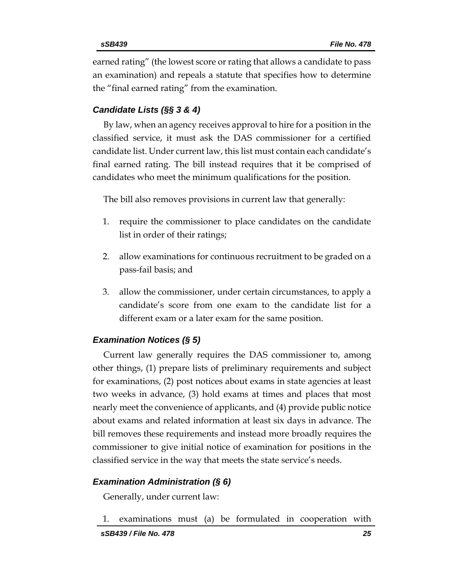earned rating" (the lowest score or rating that allows a candidate to pass an examination) and repeals a statute that specifies how to determine the "final earned rating" from the examination.

## *Candidate Lists (§§ 3 & 4)*

By law, when an agency receives approval to hire for a position in the classified service, it must ask the DAS commissioner for a certified candidate list. Under current law, this list must contain each candidate's final earned rating. The bill instead requires that it be comprised of candidates who meet the minimum qualifications for the position.

The bill also removes provisions in current law that generally:

- 1. require the commissioner to place candidates on the candidate list in order of their ratings;
- 2. allow examinations for continuous recruitment to be graded on a pass-fail basis; and
- 3. allow the commissioner, under certain circumstances, to apply a candidate's score from one exam to the candidate list for a different exam or a later exam for the same position.

## *Examination Notices (§ 5)*

Current law generally requires the DAS commissioner to, among other things, (1) prepare lists of preliminary requirements and subject for examinations, (2) post notices about exams in state agencies at least two weeks in advance, (3) hold exams at times and places that most nearly meet the convenience of applicants, and (4) provide public notice about exams and related information at least six days in advance. The bill removes these requirements and instead more broadly requires the commissioner to give initial notice of examination for positions in the classified service in the way that meets the state service's needs.

## *Examination Administration (§ 6)*

Generally, under current law:

1. examinations must (a) be formulated in cooperation with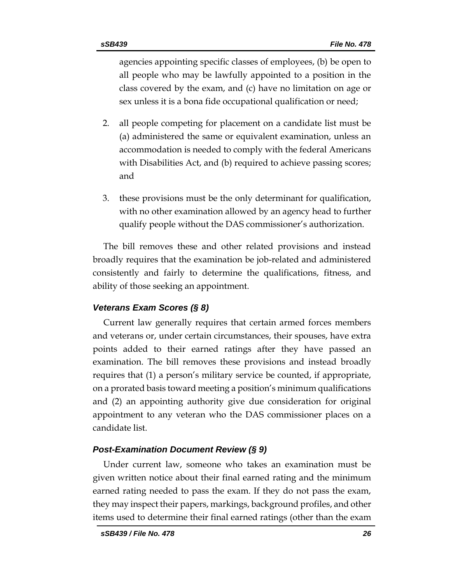agencies appointing specific classes of employees, (b) be open to all people who may be lawfully appointed to a position in the class covered by the exam, and (c) have no limitation on age or sex unless it is a bona fide occupational qualification or need;

- 2. all people competing for placement on a candidate list must be (a) administered the same or equivalent examination, unless an accommodation is needed to comply with the federal Americans with Disabilities Act, and (b) required to achieve passing scores; and
- 3. these provisions must be the only determinant for qualification, with no other examination allowed by an agency head to further qualify people without the DAS commissioner's authorization.

The bill removes these and other related provisions and instead broadly requires that the examination be job-related and administered consistently and fairly to determine the qualifications, fitness, and ability of those seeking an appointment.

## *Veterans Exam Scores (§ 8)*

Current law generally requires that certain armed forces members and veterans or, under certain circumstances, their spouses, have extra points added to their earned ratings after they have passed an examination. The bill removes these provisions and instead broadly requires that (1) a person's military service be counted, if appropriate, on a prorated basis toward meeting a position's minimum qualifications and (2) an appointing authority give due consideration for original appointment to any veteran who the DAS commissioner places on a candidate list.

## *Post-Examination Document Review (§ 9)*

Under current law, someone who takes an examination must be given written notice about their final earned rating and the minimum earned rating needed to pass the exam. If they do not pass the exam, they may inspect their papers, markings, background profiles, and other items used to determine their final earned ratings (other than the exam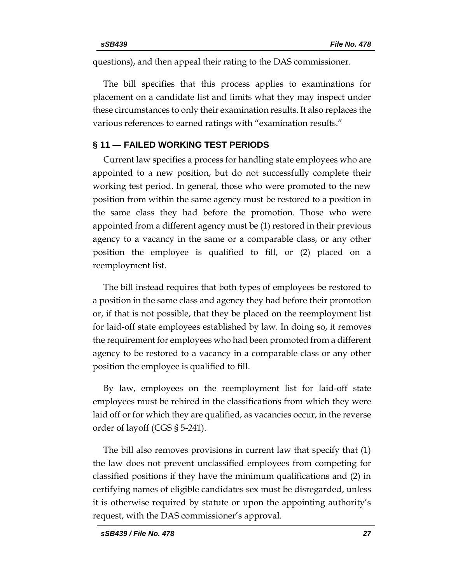questions), and then appeal their rating to the DAS commissioner.

The bill specifies that this process applies to examinations for placement on a candidate list and limits what they may inspect under these circumstances to only their examination results. It also replaces the various references to earned ratings with "examination results."

## **§ 11 — FAILED WORKING TEST PERIODS**

Current law specifies a process for handling state employees who are appointed to a new position, but do not successfully complete their working test period. In general, those who were promoted to the new position from within the same agency must be restored to a position in the same class they had before the promotion. Those who were appointed from a different agency must be (1) restored in their previous agency to a vacancy in the same or a comparable class, or any other position the employee is qualified to fill, or (2) placed on a reemployment list.

The bill instead requires that both types of employees be restored to a position in the same class and agency they had before their promotion or, if that is not possible, that they be placed on the reemployment list for laid-off state employees established by law. In doing so, it removes the requirement for employees who had been promoted from a different agency to be restored to a vacancy in a comparable class or any other position the employee is qualified to fill.

By law, employees on the reemployment list for laid-off state employees must be rehired in the classifications from which they were laid off or for which they are qualified, as vacancies occur, in the reverse order of layoff (CGS § 5-241).

The bill also removes provisions in current law that specify that (1) the law does not prevent unclassified employees from competing for classified positions if they have the minimum qualifications and (2) in certifying names of eligible candidates sex must be disregarded, unless it is otherwise required by statute or upon the appointing authority's request, with the DAS commissioner's approval.